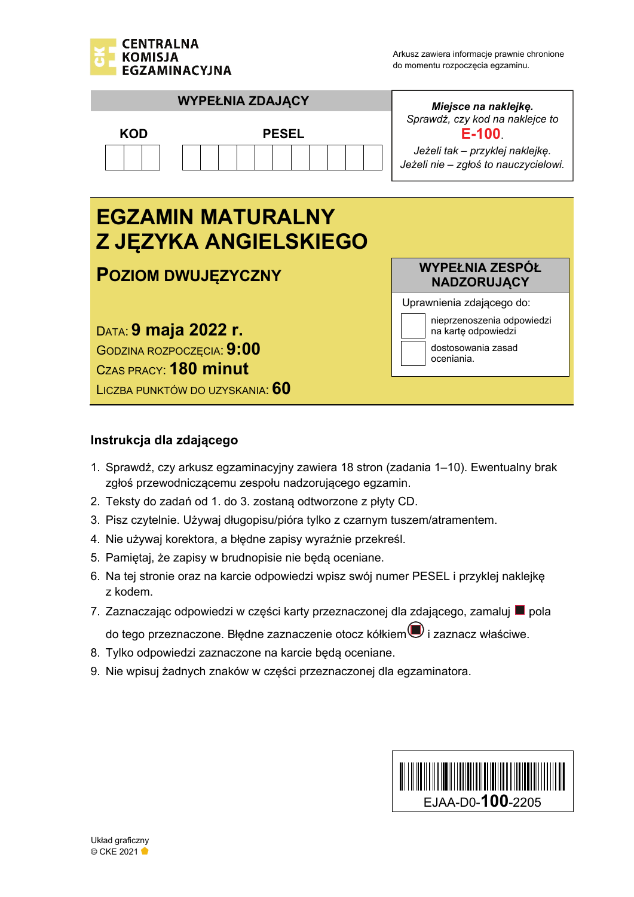

**WYPEŁNIA ZESPÓŁ NADZORUJĄCY** 

nieprzenoszenia odpowiedzi

Uprawnienia zdającego do:

oceniania.

na kartę odpowiedzi dostosowania zasad

| KOD | <b>WYPEŁNIA ZDAJĄCY</b><br><b>PESEL</b> | Miejsce na naklejkę.<br>Sprawdź, czy kod na naklejce to<br>$E-100$      |  |  |
|-----|-----------------------------------------|-------------------------------------------------------------------------|--|--|
|     |                                         | Jeżeli tak – przyklej naklejkę.<br>Jeżeli nie - zgłoś to nauczycielowi. |  |  |
|     | <b>EGZAMIN MATURALNY</b>                |                                                                         |  |  |

# **Z JĘZYKA ANGIELSKIEGO**

# **POZIOM DWUJĘZYCZNY**

DATA: **9 maja 2022 r.** 

GODZINA ROZPOCZĘCIA: **9:00** 

CZAS PRACY: **180 minut**

LICZBA PUNKTÓW DO UZYSKANIA: **60**

## **Instrukcja dla zdającego**

- 1. Sprawdź, czy arkusz egzaminacyjny zawiera 18 stron (zadania 1–10). Ewentualny brak zgłoś przewodniczącemu zespołu nadzorującego egzamin.
- 2. Teksty do zadań od 1. do 3. zostaną odtworzone z płyty CD.
- 3. Pisz czytelnie. Używaj długopisu/pióra tylko z czarnym tuszem/atramentem.
- 4. Nie używaj korektora, a błędne zapisy wyraźnie przekreśl.
- 5. Pamiętaj, że zapisy w brudnopisie nie będą oceniane.
- 6. Na tej stronie oraz na karcie odpowiedzi wpisz swój numer PESEL i przyklej naklejkę z kodem.
- 7. Zaznaczając odpowiedzi w części karty przeznaczonej dla zdającego, zamaluj pola
	- do tego przeznaczone. Błędne zaznaczenie otocz kółkiem $\bigcirc$  i zaznacz właściwe.
- 8. Tylko odpowiedzi zaznaczone na karcie będą oceniane.
- 9. Nie wpisuj żadnych znaków w części przeznaczonej dla egzaminatora.

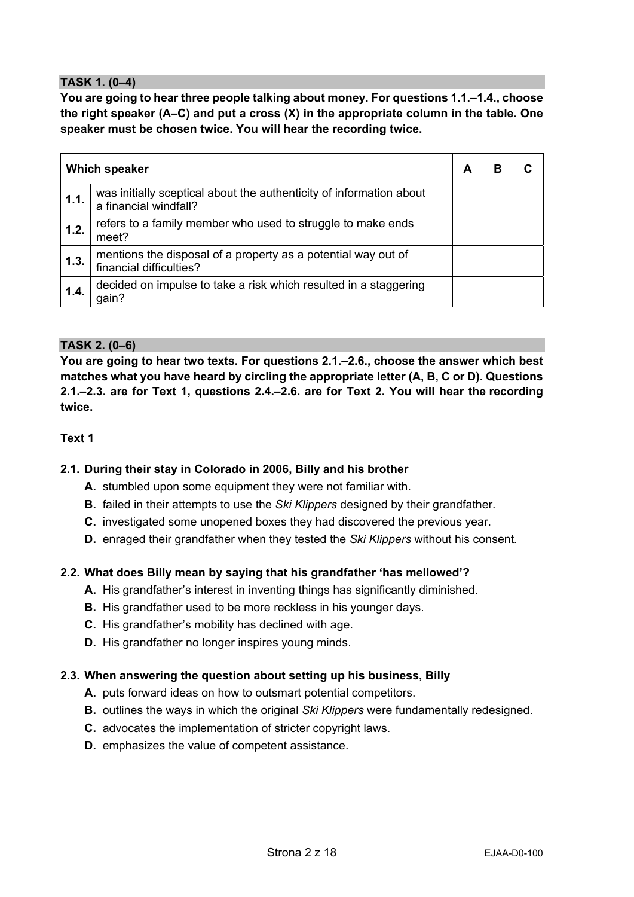## **TASK 1. (0–4)**

**You are going to hear three people talking about money. For questions 1.1.–1.4., choose the right speaker (A–C) and put a cross (X) in the appropriate column in the table. One speaker must be chosen twice. You will hear the recording twice.** 

| <b>Which speaker</b> | А                                                                                            | R |  |  |  |  |
|----------------------|----------------------------------------------------------------------------------------------|---|--|--|--|--|
| 1.1.                 | was initially sceptical about the authenticity of information about<br>a financial windfall? |   |  |  |  |  |
| 1.2.                 | refers to a family member who used to struggle to make ends<br>meet?                         |   |  |  |  |  |
| 1.3.                 | mentions the disposal of a property as a potential way out of<br>financial difficulties?     |   |  |  |  |  |
| 1.4.                 | decided on impulse to take a risk which resulted in a staggering<br>gain?                    |   |  |  |  |  |

## **TASK 2. (0–6)**

**You are going to hear two texts. For questions 2.1.–2.6., choose the answer which best matches what you have heard by circling the appropriate letter (A, B, C or D). Questions 2.1.–2.3. are for Text 1, questions 2.4.–2.6. are for Text 2. You will hear the recording twice.** 

#### **Text 1**

## **2.1. During their stay in Colorado in 2006, Billy and his brother**

- **A.** stumbled upon some equipment they were not familiar with.
- **B.** failed in their attempts to use the *Ski Klippers* designed by their grandfather.
- **C.** investigated some unopened boxes they had discovered the previous year.
- **D.** enraged their grandfather when they tested the *Ski Klippers* without his consent*.*

## **2.2. What does Billy mean by saying that his grandfather 'has mellowed'?**

- **A.** His grandfather's interest in inventing things has significantly diminished.
- **B.** His grandfather used to be more reckless in his younger days.
- **C.** His grandfather's mobility has declined with age.
- **D.** His grandfather no longer inspires young minds.

#### **2.3. When answering the question about setting up his business, Billy**

- **A.** puts forward ideas on how to outsmart potential competitors.
- **B.** outlines the ways in which the original *Ski Klippers* were fundamentally redesigned.
- **C.** advocates the implementation of stricter copyright laws.
- **D.** emphasizes the value of competent assistance.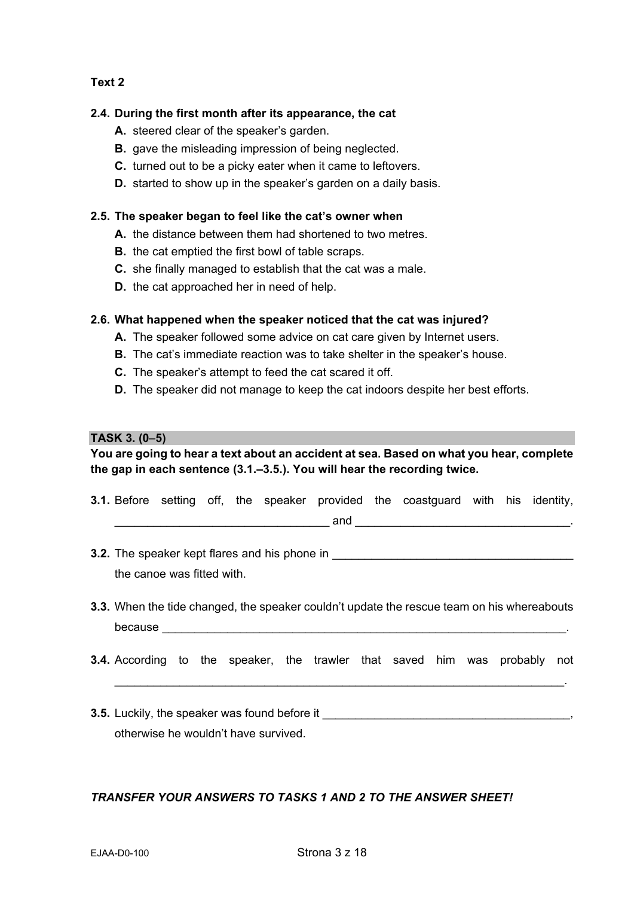## **Text 2**

#### **2.4. During the first month after its appearance, the cat**

- **A.** steered clear of the speaker's garden.
- **B.** gave the misleading impression of being neglected.
- **C.** turned out to be a picky eater when it came to leftovers.
- **D.** started to show up in the speaker's garden on a daily basis.

#### **2.5. The speaker began to feel like the cat's owner when**

- **A.** the distance between them had shortened to two metres.
- **B.** the cat emptied the first bowl of table scraps.
- **C.** she finally managed to establish that the cat was a male.
- **D.** the cat approached her in need of help.

#### **2.6. What happened when the speaker noticed that the cat was injured?**

- **A.** The speaker followed some advice on cat care given by Internet users.
- **B.** The cat's immediate reaction was to take shelter in the speaker's house.
- **C.** The speaker's attempt to feed the cat scared it off.
- **D.** The speaker did not manage to keep the cat indoors despite her best efforts.

#### **TASK 3. (0**–**5)**

**You are going to hear a text about an accident at sea. Based on what you hear, complete the gap in each sentence (3.1.–3.5.). You will hear the recording twice.** 

**3.1.** Before setting off, the speaker provided the coastguard with his identity,

| ---<br>.<br>unu |
|-----------------|
|-----------------|

- **3.2.** The speaker kept flares and his phone in **EXALLA** the canoe was fitted with.
- **3.3.** When the tide changed, the speaker couldn't update the rescue team on his whereabouts because \_\_\_\_\_\_\_\_\_\_\_\_\_\_\_\_\_\_\_\_\_\_\_\_\_\_\_\_\_\_\_\_\_\_\_\_\_\_\_\_\_\_\_\_\_\_\_\_\_\_\_\_\_\_\_\_\_\_\_\_\_\_.
- **3.4.** According to the speaker, the trawler that saved him was probably not

 $\mathcal{L}_\text{max}$  and  $\mathcal{L}_\text{max}$  and  $\mathcal{L}_\text{max}$  and  $\mathcal{L}_\text{max}$  and  $\mathcal{L}_\text{max}$  and  $\mathcal{L}_\text{max}$ 

**3.5.** Luckily, the speaker was found before it otherwise he wouldn't have survived.

## *TRANSFER YOUR ANSWERS TO TASKS 1 AND 2 TO THE ANSWER SHEET!*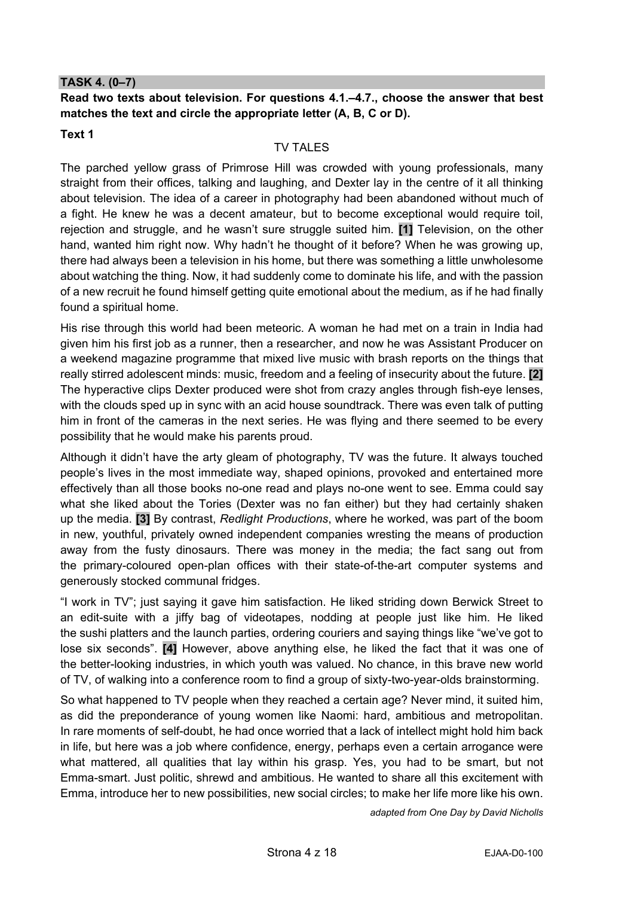## **TASK 4. (0–7)**

## **Read two texts about television. For questions 4.1.–4.7., choose the answer that best matches the text and circle the appropriate letter (A, B, C or D).**

#### **Text 1**

#### TV TAI FS

The parched yellow grass of Primrose Hill was crowded with young professionals, many straight from their offices, talking and laughing, and Dexter lay in the centre of it all thinking about television. The idea of a career in photography had been abandoned without much of a fight. He knew he was a decent amateur, but to become exceptional would require toil, rejection and struggle, and he wasn't sure struggle suited him. **[1]** Television, on the other hand, wanted him right now. Why hadn't he thought of it before? When he was growing up, there had always been a television in his home, but there was something a little unwholesome about watching the thing. Now, it had suddenly come to dominate his life, and with the passion of a new recruit he found himself getting quite emotional about the medium, as if he had finally found a spiritual home.

His rise through this world had been meteoric. A woman he had met on a train in India had given him his first job as a runner, then a researcher, and now he was Assistant Producer on a weekend magazine programme that mixed live music with brash reports on the things that really stirred adolescent minds: music, freedom and a feeling of insecurity about the future. **[2]** The hyperactive clips Dexter produced were shot from crazy angles through fish-eye lenses, with the clouds sped up in sync with an acid house soundtrack. There was even talk of putting him in front of the cameras in the next series. He was flying and there seemed to be every possibility that he would make his parents proud.

Although it didn't have the arty gleam of photography, TV was the future. It always touched people's lives in the most immediate way, shaped opinions, provoked and entertained more effectively than all those books no-one read and plays no-one went to see. Emma could say what she liked about the Tories (Dexter was no fan either) but they had certainly shaken up the media. **[3]** By contrast, *Redlight Productions*, where he worked, was part of the boom in new, youthful, privately owned independent companies wresting the means of production away from the fusty dinosaurs. There was money in the media; the fact sang out from the primary-coloured open-plan offices with their state-of-the-art computer systems and generously stocked communal fridges.

"I work in TV"; just saying it gave him satisfaction. He liked striding down Berwick Street to an edit-suite with a jiffy bag of videotapes, nodding at people just like him. He liked the sushi platters and the launch parties, ordering couriers and saying things like "we've got to lose six seconds". **[4]** However, above anything else, he liked the fact that it was one of the better-looking industries, in which youth was valued. No chance, in this brave new world of TV, of walking into a conference room to find a group of sixty-two-year-olds brainstorming.

So what happened to TV people when they reached a certain age? Never mind, it suited him, as did the preponderance of young women like Naomi: hard, ambitious and metropolitan. In rare moments of self-doubt, he had once worried that a lack of intellect might hold him back in life, but here was a job where confidence, energy, perhaps even a certain arrogance were what mattered, all qualities that lay within his grasp. Yes, you had to be smart, but not Emma-smart. Just politic, shrewd and ambitious. He wanted to share all this excitement with Emma, introduce her to new possibilities, new social circles; to make her life more like his own.

*adapted from One Day by David Nicholls*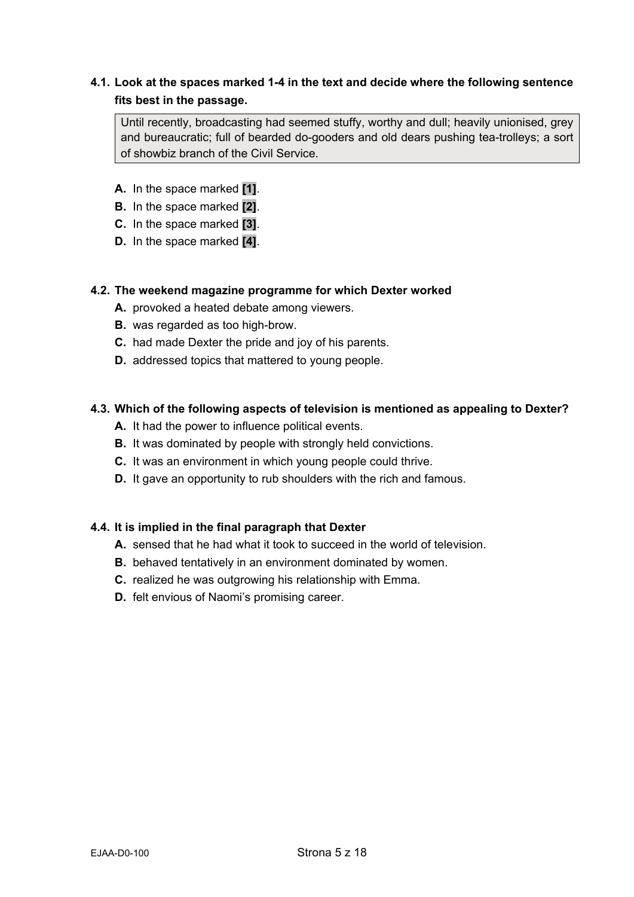## **4.1. Look at the spaces marked 1-4 in the text and decide where the following sentence fits best in the passage.**

Until recently, broadcasting had seemed stuffy, worthy and dull; heavily unionised, grey and bureaucratic; full of bearded do-gooders and old dears pushing tea-trolleys; a sort of showbiz branch of the Civil Service.

- **A.** In the space marked **[1]**.
- **B.** In the space marked **[2]**.
- **C.** In the space marked **[3]**.
- **D.** In the space marked **[4]**.

#### **4.2. The weekend magazine programme for which Dexter worked**

- **A.** provoked a heated debate among viewers.
- **B.** was regarded as too high-brow.
- **C.** had made Dexter the pride and joy of his parents.
- **D.** addressed topics that mattered to young people.

#### **4.3. Which of the following aspects of television is mentioned as appealing to Dexter?**

- **A.** It had the power to influence political events.
- **B.** It was dominated by people with strongly held convictions.
- **C.** It was an environment in which young people could thrive.
- **D.** It gave an opportunity to rub shoulders with the rich and famous.

#### **4.4. It is implied in the final paragraph that Dexter**

- **A.** sensed that he had what it took to succeed in the world of television.
- **B.** behaved tentatively in an environment dominated by women.
- **C.** realized he was outgrowing his relationship with Emma.
- **D.** felt envious of Naomi's promising career.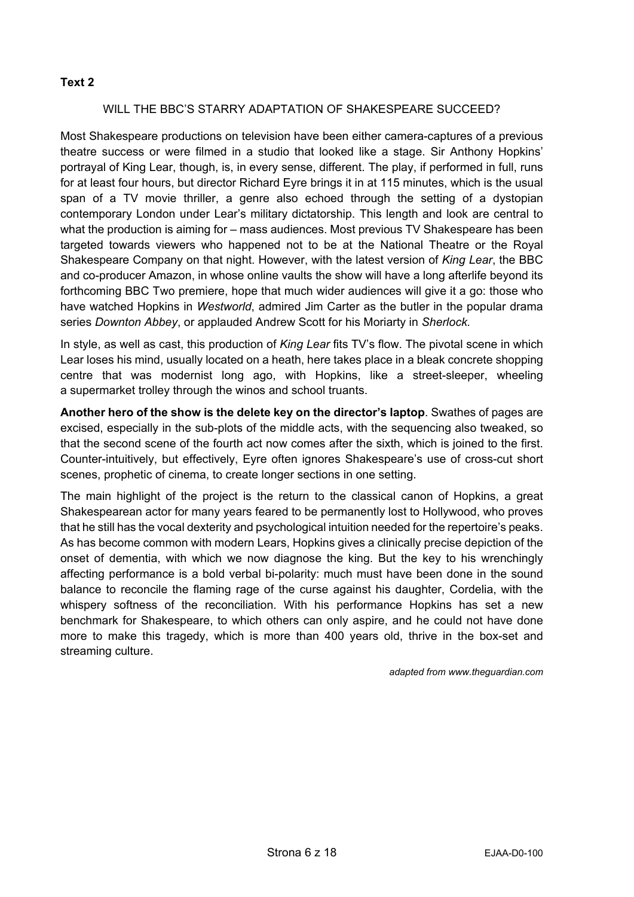## **Text 2**

#### WILL THE BBC'S STARRY ADAPTATION OF SHAKESPEARE SUCCEED?

Most Shakespeare productions on television have been either camera-captures of a previous theatre success or were filmed in a studio that looked like a stage. Sir Anthony Hopkins' portrayal of King Lear, though, is, in every sense, different. The play, if performed in full, runs for at least four hours, but director Richard Eyre brings it in at 115 minutes, which is the usual span of a TV movie thriller, a genre also echoed through the setting of a dystopian contemporary London under Lear's military dictatorship. This length and look are central to what the production is aiming for – mass audiences. Most previous TV Shakespeare has been targeted towards viewers who happened not to be at the National Theatre or the Royal Shakespeare Company on that night. However, with the latest version of *King Lear*, the BBC and co-producer Amazon, in whose online vaults the show will have a long afterlife beyond its forthcoming BBC Two premiere, hope that much wider audiences will give it a go: those who have watched Hopkins in *Westworld*, admired Jim Carter as the butler in the popular drama series *Downton Abbey*, or applauded Andrew Scott for his Moriarty in *Sherlock.*

In style, as well as cast, this production of *King Lear* fits TV's flow. The pivotal scene in which Lear loses his mind, usually located on a heath, here takes place in a bleak concrete shopping centre that was modernist long ago, with Hopkins, like a street-sleeper, wheeling a supermarket trolley through the winos and school truants.

**Another hero of the show is the delete key on the director's laptop**. Swathes of pages are excised, especially in the sub-plots of the middle acts, with the sequencing also tweaked, so that the second scene of the fourth act now comes after the sixth, which is joined to the first. Counter-intuitively, but effectively, Eyre often ignores Shakespeare's use of cross-cut short scenes, prophetic of cinema, to create longer sections in one setting.

The main highlight of the project is the return to the classical canon of Hopkins, a great Shakespearean actor for many years feared to be permanently lost to Hollywood, who proves that he still has the vocal dexterity and psychological intuition needed for the repertoire's peaks. As has become common with modern Lears, Hopkins gives a clinically precise depiction of the onset of dementia, with which we now diagnose the king. But the key to his wrenchingly affecting performance is a bold verbal bi-polarity: much must have been done in the sound balance to reconcile the flaming rage of the curse against his daughter, Cordelia, with the whispery softness of the reconciliation. With his performance Hopkins has set a new benchmark for Shakespeare, to which others can only aspire, and he could not have done more to make this tragedy, which is more than 400 years old, thrive in the box-set and streaming culture.

*adapted from www.theguardian.com*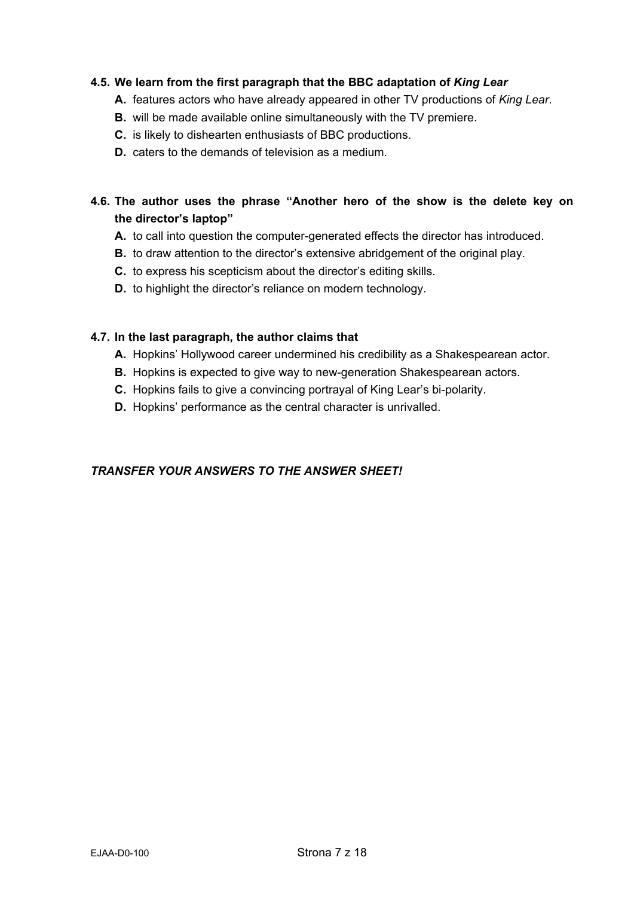#### **4.5. We learn from the first paragraph that the BBC adaptation of** *King Lear*

- **A.** features actors who have already appeared in other TV productions of *King Lear*.
- **B.** will be made available online simultaneously with the TV premiere.
- **C.** is likely to dishearten enthusiasts of BBC productions.
- **D.** caters to the demands of television as a medium.

## **4.6. The author uses the phrase "Another hero of the show is the delete key on the director's laptop"**

- **A.** to call into question the computer-generated effects the director has introduced.
- **B.** to draw attention to the director's extensive abridgement of the original play.
- **C.** to express his scepticism about the director's editing skills.
- **D.** to highlight the director's reliance on modern technology.

#### **4.7. In the last paragraph, the author claims that**

- **A.** Hopkins' Hollywood career undermined his credibility as a Shakespearean actor.
- **B.** Hopkins is expected to give way to new-generation Shakespearean actors.
- **C.** Hopkins fails to give a convincing portrayal of King Lear's bi-polarity.
- **D.** Hopkins' performance as the central character is unrivalled.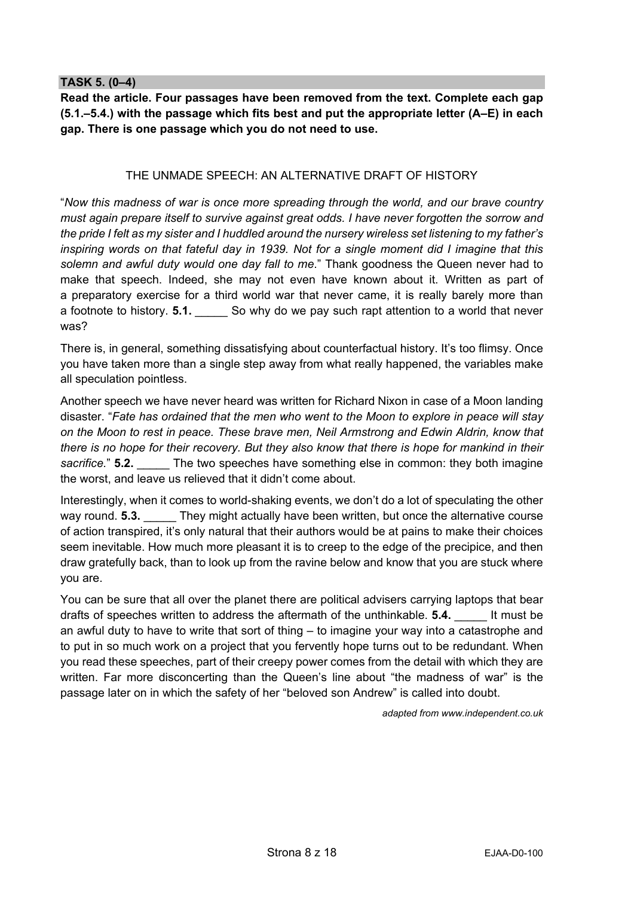#### **TASK 5. (0–4)**

**Read the article. Four passages have been removed from the text. Complete each gap (5.1.–5.4.) with the passage which fits best and put the appropriate letter (A–E) in each gap. There is one passage which you do not need to use.** 

#### THE UNMADE SPEECH: AN ALTERNATIVE DRAFT OF HISTORY

"*Now this madness of war is once more spreading through the world, and our brave country must again prepare itself to survive against great odds. I have never forgotten the sorrow and the pride I felt as my sister and I huddled around the nursery wireless set listening to my father's inspiring words on that fateful day in 1939. Not for a single moment did I imagine that this solemn and awful duty would one day fall to me*." Thank goodness the Queen never had to make that speech. Indeed, she may not even have known about it. Written as part of a preparatory exercise for a third world war that never came, it is really barely more than a footnote to history. **5.1.** So why do we pay such rapt attention to a world that never was?

There is, in general, something dissatisfying about counterfactual history. It's too flimsy. Once you have taken more than a single step away from what really happened, the variables make all speculation pointless.

Another speech we have never heard was written for Richard Nixon in case of a Moon landing disaster. "*Fate has ordained that the men who went to the Moon to explore in peace will stay on the Moon to rest in peace. These brave men, Neil Armstrong and Edwin Aldrin, know that there is no hope for their recovery. But they also know that there is hope for mankind in their*  **sacrifice." 5.2.** The two speeches have something else in common: they both imagine the worst, and leave us relieved that it didn't come about.

Interestingly, when it comes to world-shaking events, we don't do a lot of speculating the other way round. **5.3.** They might actually have been written, but once the alternative course of action transpired, it's only natural that their authors would be at pains to make their choices seem inevitable. How much more pleasant it is to creep to the edge of the precipice, and then draw gratefully back, than to look up from the ravine below and know that you are stuck where you are.

You can be sure that all over the planet there are political advisers carrying laptops that bear drafts of speeches written to address the aftermath of the unthinkable. **5.4.** \_\_\_\_\_ It must be an awful duty to have to write that sort of thing – to imagine your way into a catastrophe and to put in so much work on a project that you fervently hope turns out to be redundant. When you read these speeches, part of their creepy power comes from the detail with which they are written. Far more disconcerting than the Queen's line about "the madness of war" is the passage later on in which the safety of her "beloved son Andrew" is called into doubt.

*adapted from www.independent.co.uk*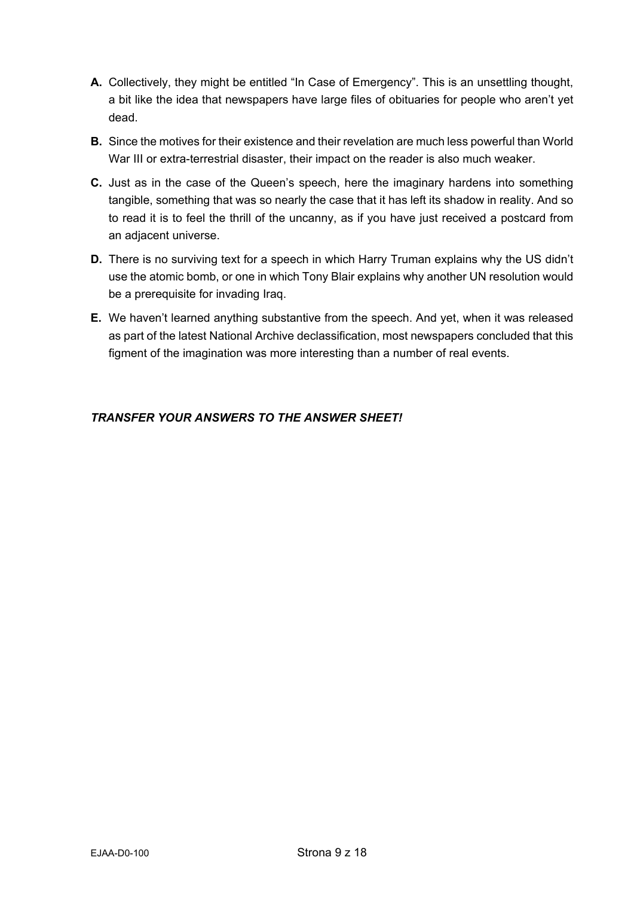- **A.** Collectively, they might be entitled "In Case of Emergency". This is an unsettling thought, a bit like the idea that newspapers have large files of obituaries for people who aren't yet dead.
- **B.** Since the motives for their existence and their revelation are much less powerful than World War III or extra-terrestrial disaster, their impact on the reader is also much weaker.
- **C.** Just as in the case of the Queen's speech, here the imaginary hardens into something tangible, something that was so nearly the case that it has left its shadow in reality. And so to read it is to feel the thrill of the uncanny, as if you have just received a postcard from an adjacent universe.
- **D.** There is no surviving text for a speech in which Harry Truman explains why the US didn't use the atomic bomb, or one in which Tony Blair explains why another UN resolution would be a prerequisite for invading Iraq.
- **E.** We haven't learned anything substantive from the speech. And yet, when it was released as part of the latest National Archive declassification, most newspapers concluded that this figment of the imagination was more interesting than a number of real events.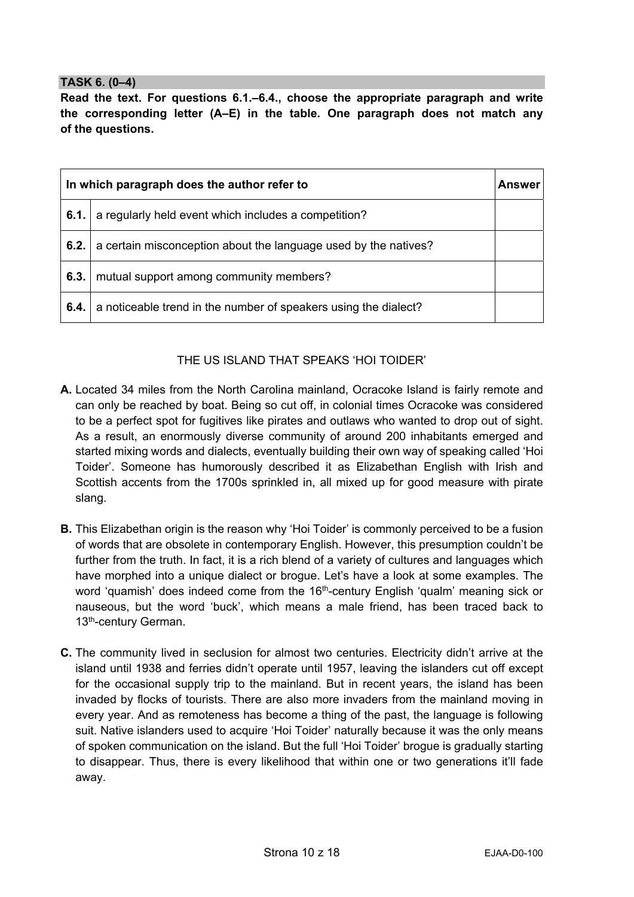#### **TASK 6. (0–4)**

**Read the text. For questions 6.1.–6.4., choose the appropriate paragraph and write the corresponding letter (A–E) in the table. One paragraph does not match any of the questions.** 

| In which paragraph does the author refer to |                                                                 |  |  |  |  |  |
|---------------------------------------------|-----------------------------------------------------------------|--|--|--|--|--|
| 6.1.                                        | a regularly held event which includes a competition?            |  |  |  |  |  |
| 6.2.                                        | a certain misconception about the language used by the natives? |  |  |  |  |  |
| 6.3.                                        | mutual support among community members?                         |  |  |  |  |  |
| 6.4.                                        | a noticeable trend in the number of speakers using the dialect? |  |  |  |  |  |

## THE US ISLAND THAT SPEAKS 'HOI TOIDER'

- **A.** Located 34 miles from the North Carolina mainland, Ocracoke Island is fairly remote and can only be reached by boat. Being so cut off, in colonial times Ocracoke was considered to be a perfect spot for fugitives like pirates and outlaws who wanted to drop out of sight. As a result, an enormously diverse community of around 200 inhabitants emerged and started mixing words and dialects, eventually building their own way of speaking called 'Hoi Toider'. Someone has humorously described it as Elizabethan English with Irish and Scottish accents from the 1700s sprinkled in, all mixed up for good measure with pirate slang.
- **B.** This Elizabethan origin is the reason why 'Hoi Toider' is commonly perceived to be a fusion of words that are obsolete in contemporary English. However, this presumption couldn't be further from the truth. In fact, it is a rich blend of a variety of cultures and languages which have morphed into a unique dialect or brogue. Let's have a look at some examples. The word 'quamish' does indeed come from the 16<sup>th</sup>-century English 'qualm' meaning sick or nauseous, but the word 'buck', which means a male friend, has been traced back to 13<sup>th</sup>-century German.
- **C.** The community lived in seclusion for almost two centuries. Electricity didn't arrive at the island until 1938 and ferries didn't operate until 1957, leaving the islanders cut off except for the occasional supply trip to the mainland. But in recent years, the island has been invaded by flocks of tourists. There are also more invaders from the mainland moving in every year. And as remoteness has become a thing of the past, the language is following suit. Native islanders used to acquire 'Hoi Toider' naturally because it was the only means of spoken communication on the island. But the full 'Hoi Toider' brogue is gradually starting to disappear. Thus, there is every likelihood that within one or two generations it'll fade away.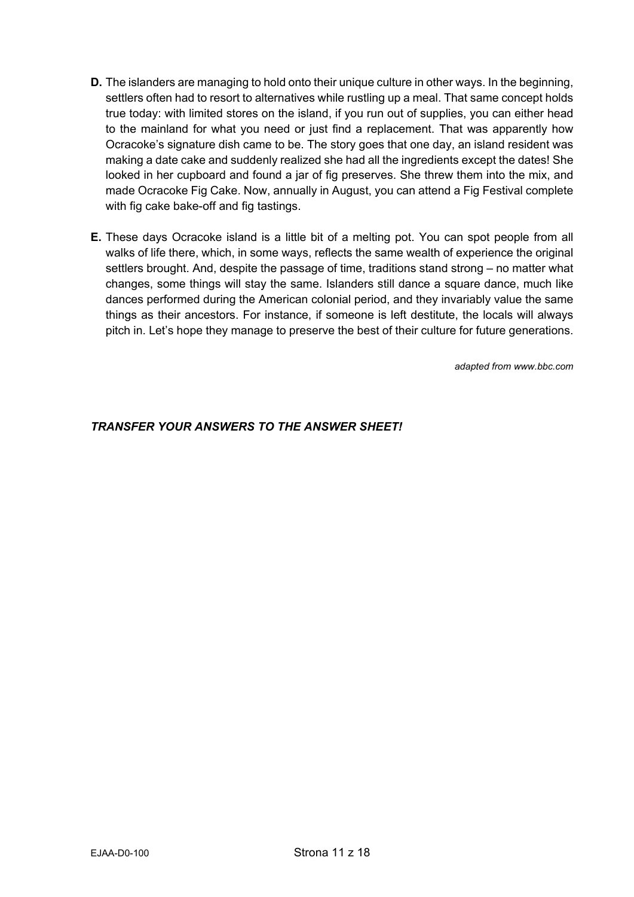- **D.** The islanders are managing to hold onto their unique culture in other ways. In the beginning, settlers often had to resort to alternatives while rustling up a meal. That same concept holds true today: with limited stores on the island, if you run out of supplies, you can either head to the mainland for what you need or just find a replacement. That was apparently how Ocracoke's signature dish came to be. The story goes that one day, an island resident was making a date cake and suddenly realized she had all the ingredients except the dates! She looked in her cupboard and found a jar of fig preserves. She threw them into the mix, and made Ocracoke Fig Cake. Now, annually in August, you can attend a Fig Festival complete with fig cake bake-off and fig tastings.
- **E.** These days Ocracoke island is a little bit of a melting pot. You can spot people from all walks of life there, which, in some ways, reflects the same wealth of experience the original settlers brought. And, despite the passage of time, traditions stand strong – no matter what changes, some things will stay the same. Islanders still dance a square dance, much like dances performed during the American colonial period, and they invariably value the same things as their ancestors. For instance, if someone is left destitute, the locals will always pitch in. Let's hope they manage to preserve the best of their culture for future generations.

*adapted from www.bbc.com*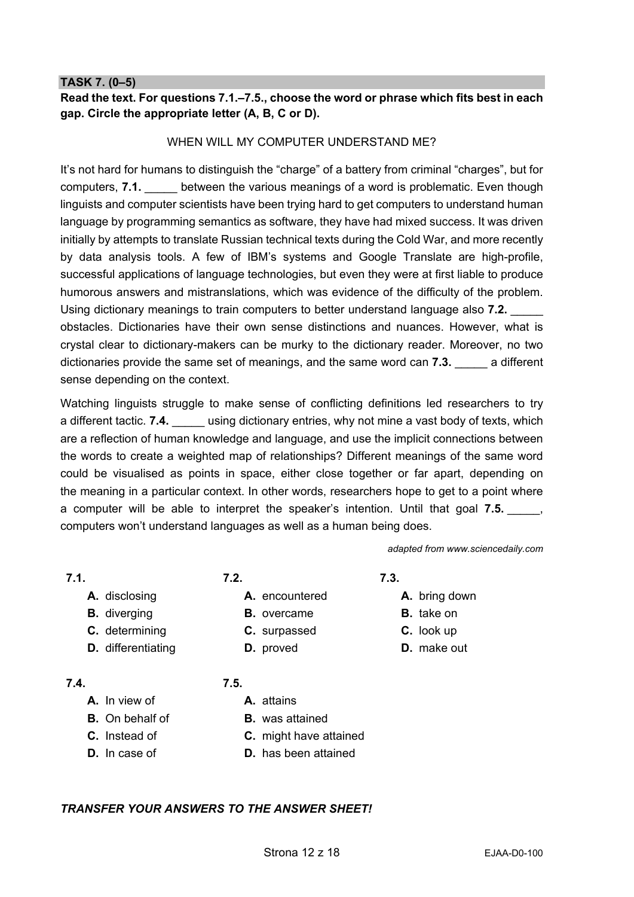#### **TASK 7. (0–5)**

## **Read the text. For questions 7.1.–7.5., choose the word or phrase which fits best in each gap. Circle the appropriate letter (A, B, C or D).**

#### WHEN WILL MY COMPUTER UNDERSTAND ME?

It's not hard for humans to distinguish the "charge" of a battery from criminal "charges", but for computers, **7.1.** \_\_\_\_\_ between the various meanings of a word is problematic. Even though linguists and computer scientists have been trying hard to get computers to understand human language by programming semantics as software, they have had mixed success. It was driven initially by attempts to translate Russian technical texts during the Cold War, and more recently by data analysis tools. A few of IBM's systems and Google Translate are high-profile, successful applications of language technologies, but even they were at first liable to produce humorous answers and mistranslations, which was evidence of the difficulty of the problem. Using dictionary meanings to train computers to better understand language also 7.2. obstacles. Dictionaries have their own sense distinctions and nuances. However, what is crystal clear to dictionary-makers can be murky to the dictionary reader. Moreover, no two dictionaries provide the same set of meanings, and the same word can **7.3.** a different sense depending on the context.

Watching linguists struggle to make sense of conflicting definitions led researchers to try a different tactic. **7.4.** \_\_\_\_\_ using dictionary entries, why not mine a vast body of texts, which are a reflection of human knowledge and language, and use the implicit connections between the words to create a weighted map of relationships? Different meanings of the same word could be visualised as points in space, either close together or far apart, depending on the meaning in a particular context. In other words, researchers hope to get to a point where a computer will be able to interpret the speaker's intention. Until that goal **7.5.**  $\blacksquare$ , computers won't understand languages as well as a human being does.

*adapted from www.sciencedaily.com* 

**A.** bring down **B.** take on **C.** look up **D.** make out

**7.3.**

#### **7.1.**

- **A.** disclosing
- **A.** encountered **B.** overcame
- **B.** diverging
- **C.** determining
- **D.** differentiating

#### **7.4.**

## **7.5.**

**7.2.**

- **A.** In view of
- **B.** was attained

**A.** attains

**C.** surpassed **D.** proved

- **B.** On behalf of **C.** Instead of
- 
- **C.** might have attained
- **D.** In case of
- **D.** has been attained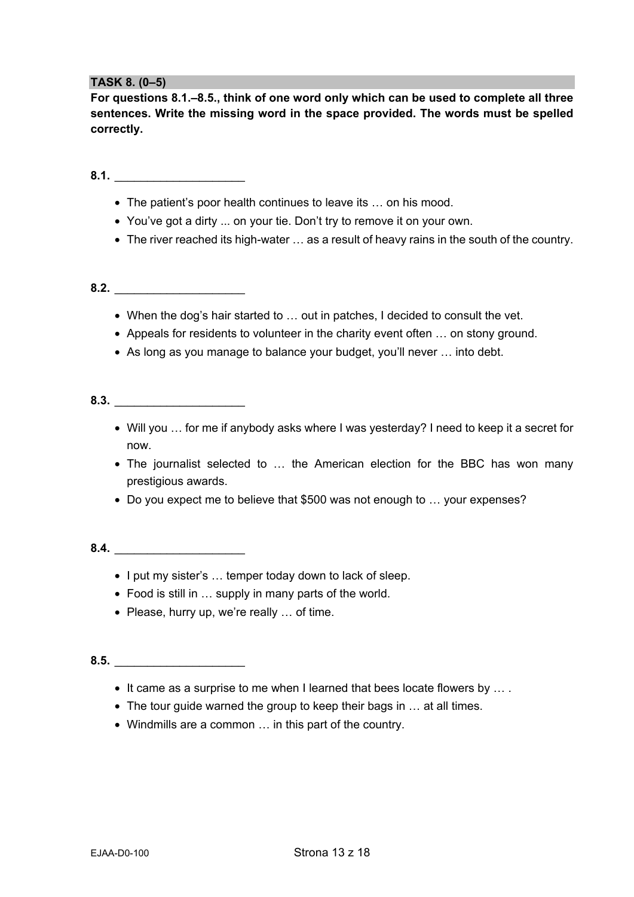#### **TASK 8. (0–5)**

**For questions 8.1.–8.5., think of one word only which can be used to complete all three sentences. Write the missing word in the space provided. The words must be spelled correctly.** 

## **8.1.**  $\blacksquare$

- The patient's poor health continues to leave its … on his mood.
- You've got a dirty ... on your tie. Don't try to remove it on your own.
- The river reached its high-water … as a result of heavy rains in the south of the country.

#### **8.2.** \_\_\_\_\_\_\_\_\_\_\_\_\_\_\_\_\_\_\_\_

- When the dog's hair started to … out in patches, I decided to consult the vet.
- Appeals for residents to volunteer in the charity event often … on stony ground.
- As long as you manage to balance your budget, you'll never … into debt.

# **8.3.**  $\blacksquare$

- Will you … for me if anybody asks where I was yesterday? I need to keep it a secret for now.
- The journalist selected to … the American election for the BBC has won many prestigious awards.
- Do you expect me to believe that \$500 was not enough to … your expenses?

**8.4.** \_\_\_\_\_\_\_\_\_\_\_\_\_\_\_\_\_\_\_\_

- I put my sister's … temper today down to lack of sleep.
- Food is still in … supply in many parts of the world.
- Please, hurry up, we're really … of time.

## **8.5.** \_\_\_\_\_\_\_\_\_\_\_\_\_\_\_\_\_\_\_\_

- It came as a surprise to me when I learned that bees locate flowers by ... .
- The tour guide warned the group to keep their bags in … at all times.
- Windmills are a common … in this part of the country.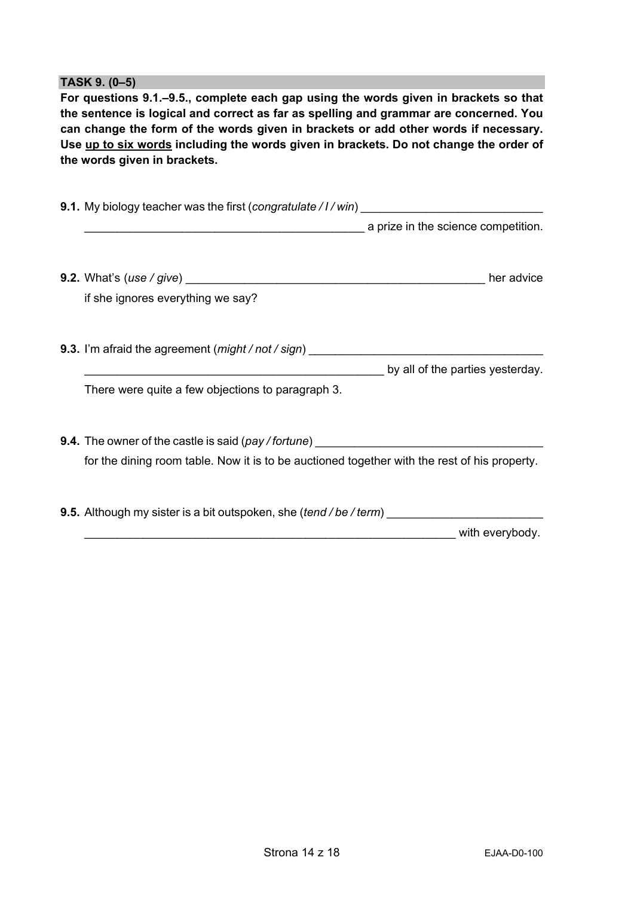#### **TASK 9. (0–5)**

**For questions 9.1.–9.5., complete each gap using the words given in brackets so that the sentence is logical and correct as far as spelling and grammar are concerned. You can change the form of the words given in brackets or add other words if necessary. Use up to six words including the words given in brackets. Do not change the order of the words given in brackets.**

| <b>9.1.</b> My biology teacher was the first (congratulate / I / win)                        |                                     |  |  |
|----------------------------------------------------------------------------------------------|-------------------------------------|--|--|
|                                                                                              | a prize in the science competition. |  |  |
|                                                                                              |                                     |  |  |
|                                                                                              | her advice                          |  |  |
| if she ignores everything we say?                                                            |                                     |  |  |
|                                                                                              |                                     |  |  |
| 9.3. I'm afraid the agreement (might / not / sign) ____                                      |                                     |  |  |
|                                                                                              | by all of the parties yesterday.    |  |  |
| There were quite a few objections to paragraph 3.                                            |                                     |  |  |
|                                                                                              |                                     |  |  |
| <b>9.4.</b> The owner of the castle is said (pay / fortune) __________________________       |                                     |  |  |
| for the dining room table. Now it is to be auctioned together with the rest of his property. |                                     |  |  |
|                                                                                              |                                     |  |  |
|                                                                                              |                                     |  |  |
| <b>9.5.</b> Although my sister is a bit outspoken, she (tend / be / term)                    |                                     |  |  |

with everybody.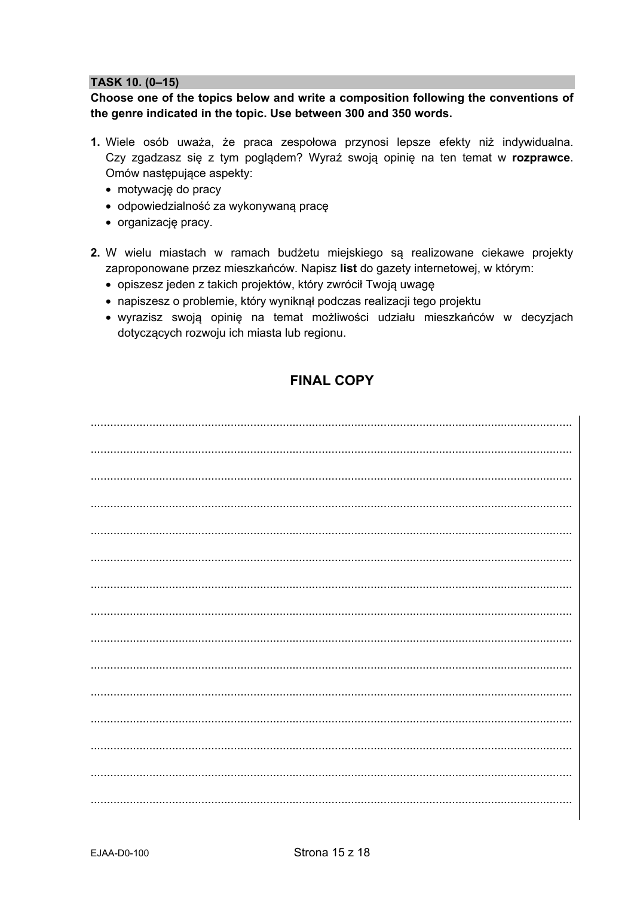#### TASK 10. (0-15)

Choose one of the topics below and write a composition following the conventions of the genre indicated in the topic. Use between 300 and 350 words.

- 1. Wiele osób uważa, że praca zespołowa przynosi lepsze efekty niż indywidualna. Czy zgadzasz się z tym pogladem? Wyraź swoja opinie na ten temat w rozprawce. Omów następujące aspekty:
	- motywację do pracy
	- · odpowiedzialność za wykonywaną pracę
	- organizację pracy.
- 2. W wielu miastach w ramach budżetu miejskiego sa realizowane ciekawe projekty zaproponowane przez mieszkańców. Napisz list do gazety internetowej, w którym:
	- · opiszesz jeden z takich projektów, który zwrócił Twoją uwagę
	- · napiszesz o problemie, który wyniknał podczas realizacji tego projektu
	- · wyrazisz swoją opinię na temat możliwości udziału mieszkańców w decyzjach dotyczących rozwoju ich miasta lub regionu.

# **FINAL COPY**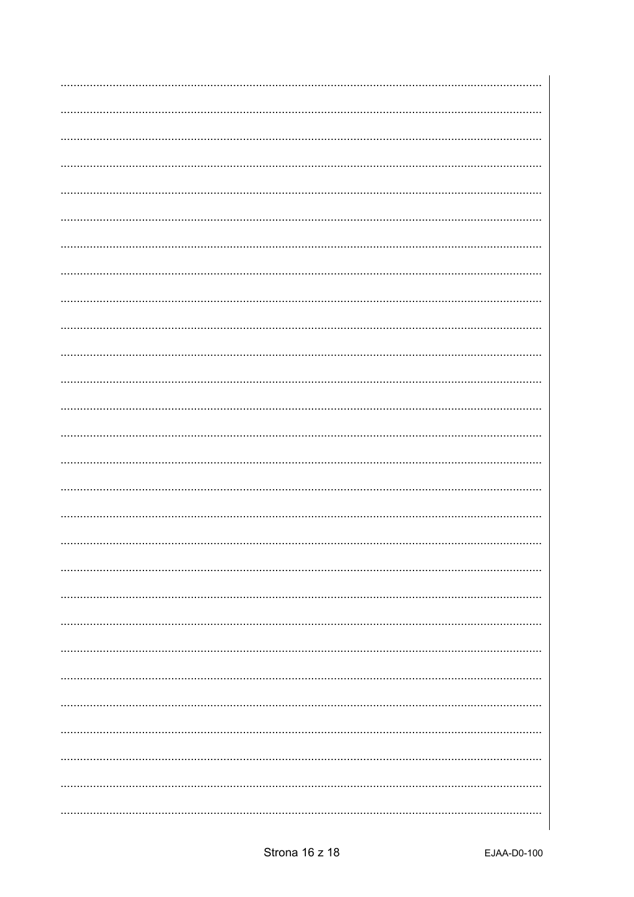| $\cdots$ |
|----------|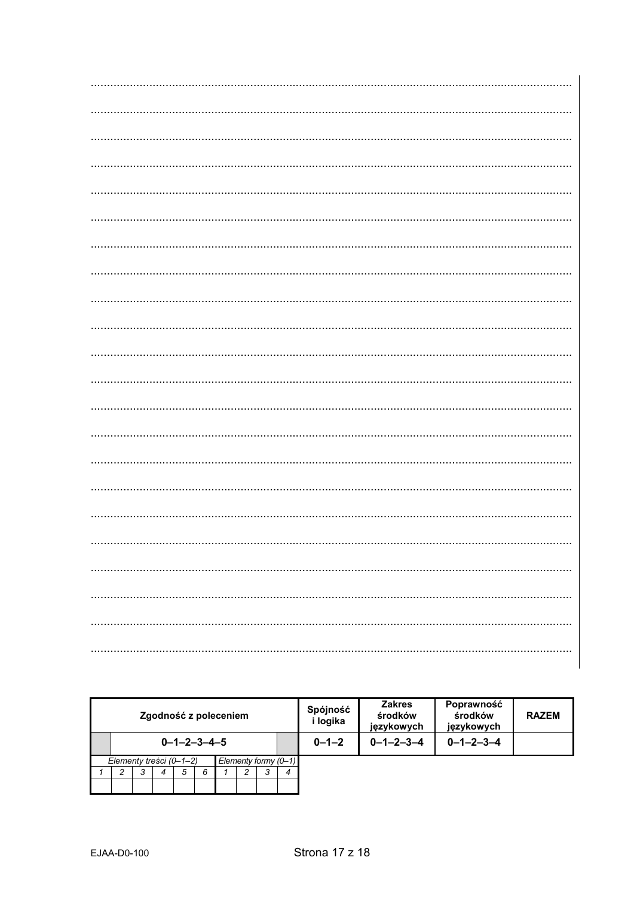| Zgodność z poleceniem                               |                         |  |   |   |   |  | Spójność<br>i logika | <b>Zakres</b><br>środków<br>językowych | Poprawność<br>środków<br>językowych | <b>RAZEM</b> |                     |                     |  |
|-----------------------------------------------------|-------------------------|--|---|---|---|--|----------------------|----------------------------------------|-------------------------------------|--------------|---------------------|---------------------|--|
|                                                     | $0 - 1 - 2 - 3 - 4 - 5$ |  |   |   |   |  |                      |                                        |                                     | $0 - 1 - 2$  | $0 - 1 - 2 - 3 - 4$ | $0 - 1 - 2 - 3 - 4$ |  |
| Elementy formy $(0-1)$<br>Elementy treści $(0-1-2)$ |                         |  |   |   |   |  |                      |                                        |                                     |              |                     |                     |  |
|                                                     | ົ                       |  | 4 | 5 | 6 |  |                      | 3                                      | 4                                   |              |                     |                     |  |
|                                                     |                         |  |   |   |   |  |                      |                                        |                                     |              |                     |                     |  |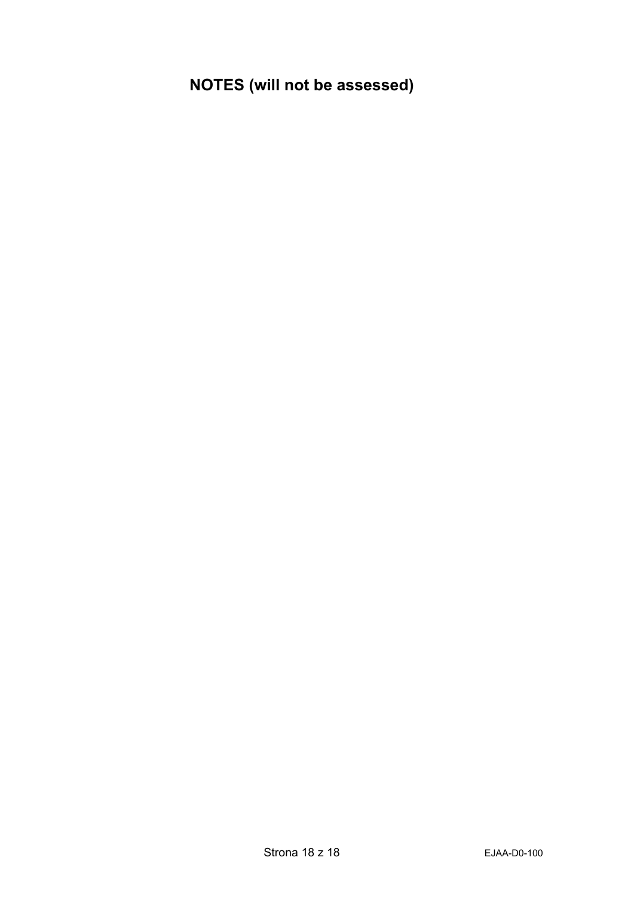**NOTES (will not be assessed)**